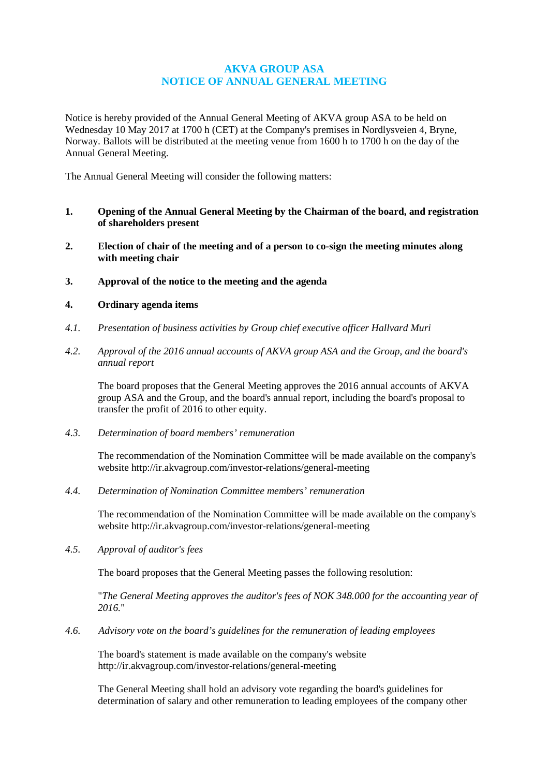# **AKVA GROUP ASA NOTICE OF ANNUAL GENERAL MEETING**

Notice is hereby provided of the Annual General Meeting of AKVA group ASA to be held on Wednesday 10 May 2017 at 1700 h (CET) at the Company's premises in Nordlysveien 4, Bryne, Norway. Ballots will be distributed at the meeting venue from 1600 h to 1700 h on the day of the Annual General Meeting.

The Annual General Meeting will consider the following matters:

- **1. Opening of the Annual General Meeting by the Chairman of the board, and registration of shareholders present**
- **2. Election of chair of the meeting and of a person to co-sign the meeting minutes along with meeting chair**
- **3. Approval of the notice to the meeting and the agenda**

# **4. Ordinary agenda items**

- *4.1. Presentation of business activities by Group chief executive officer Hallvard Muri*
- *4.2. Approval of the 2016 annual accounts of AKVA group ASA and the Group, and the board's annual report*

The board proposes that the General Meeting approves the 2016 annual accounts of AKVA group ASA and the Group, and the board's annual report, including the board's proposal to transfer the profit of 2016 to other equity.

*4.3. Determination of board members' remuneration*

The recommendation of the Nomination Committee will be made available on the company's website<http://ir.akvagroup.com/investor-relations/general-meeting>

*4.4. Determination of Nomination Committee members' remuneration*

The recommendation of the Nomination Committee will be made available on the company's website<http://ir.akvagroup.com/investor-relations/general-meeting>

*4.5. Approval of auditor's fees*

The board proposes that the General Meeting passes the following resolution:

"*The General Meeting approves the auditor's fees of NOK 348.000 for the accounting year of 2016.*"

*4.6. Advisory vote on the board's guidelines for the remuneration of leading employees*

The board's statement is made available on the company's website <http://ir.akvagroup.com/investor-relations/general-meeting>

The General Meeting shall hold an advisory vote regarding the board's guidelines for determination of salary and other remuneration to leading employees of the company other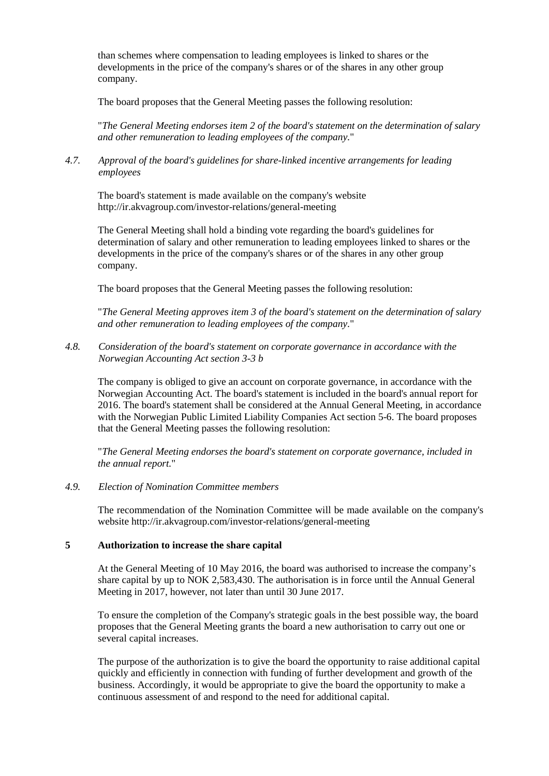than schemes where compensation to leading employees is linked to shares or the developments in the price of the company's shares or of the shares in any other group company.

The board proposes that the General Meeting passes the following resolution:

"*The General Meeting endorses item 2 of the board's statement on the determination of salary and other remuneration to leading employees of the company.*"

*4.7. Approval of the board's guidelines for share-linked incentive arrangements for leading employees*

The board's statement is made available on the company's website <http://ir.akvagroup.com/investor-relations/general-meeting>

The General Meeting shall hold a binding vote regarding the board's guidelines for determination of salary and other remuneration to leading employees linked to shares or the developments in the price of the company's shares or of the shares in any other group company.

The board proposes that the General Meeting passes the following resolution:

"*The General Meeting approves item 3 of the board's statement on the determination of salary and other remuneration to leading employees of the company.*"

*4.8. Consideration of the board's statement on corporate governance in accordance with the Norwegian Accounting Act section 3-3 b*

The company is obliged to give an account on corporate governance, in accordance with the Norwegian Accounting Act. The board's statement is included in the board's annual report for 2016. The board's statement shall be considered at the Annual General Meeting, in accordance with the Norwegian Public Limited Liability Companies Act section 5-6. The board proposes that the General Meeting passes the following resolution:

"*The General Meeting endorses the board's statement on corporate governance, included in the annual report.*"

### *4.9. Election of Nomination Committee members*

The recommendation of the Nomination Committee will be made available on the company's website<http://ir.akvagroup.com/investor-relations/general-meeting>

## **5 Authorization to increase the share capital**

At the General Meeting of 10 May 2016, the board was authorised to increase the company's share capital by up to NOK 2,583,430. The authorisation is in force until the Annual General Meeting in 2017, however, not later than until 30 June 2017.

To ensure the completion of the Company's strategic goals in the best possible way, the board proposes that the General Meeting grants the board a new authorisation to carry out one or several capital increases.

The purpose of the authorization is to give the board the opportunity to raise additional capital quickly and efficiently in connection with funding of further development and growth of the business. Accordingly, it would be appropriate to give the board the opportunity to make a continuous assessment of and respond to the need for additional capital.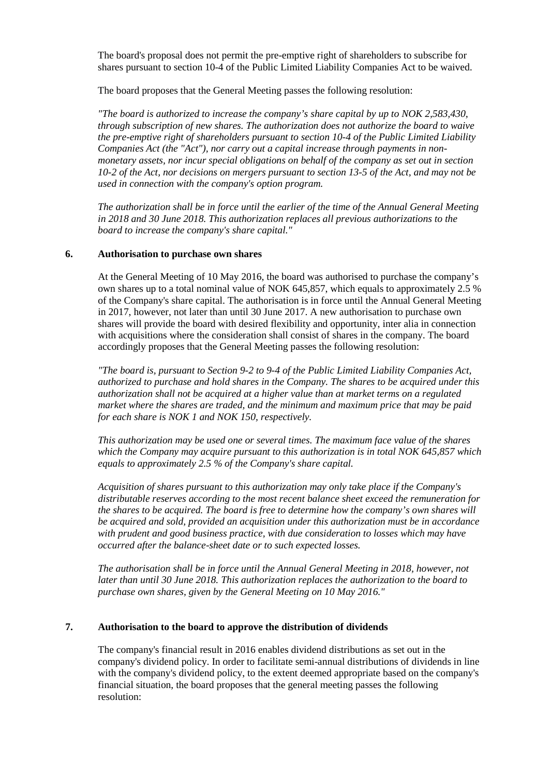The board's proposal does not permit the pre-emptive right of shareholders to subscribe for shares pursuant to section 10-4 of the Public Limited Liability Companies Act to be waived.

The board proposes that the General Meeting passes the following resolution:

*"The board is authorized to increase the company's share capital by up to NOK 2,583,430, through subscription of new shares. The authorization does not authorize the board to waive the pre-emptive right of shareholders pursuant to section 10-4 of the Public Limited Liability Companies Act (the "Act"), nor carry out a capital increase through payments in nonmonetary assets, nor incur special obligations on behalf of the company as set out in section 10-2 of the Act, nor decisions on mergers pursuant to section 13-5 of the Act, and may not be used in connection with the company's option program.*

*The authorization shall be in force until the earlier of the time of the Annual General Meeting in 2018 and 30 June 2018. This authorization replaces all previous authorizations to the board to increase the company's share capital."*

## **6. Authorisation to purchase own shares**

At the General Meeting of 10 May 2016, the board was authorised to purchase the company's own shares up to a total nominal value of NOK 645,857, which equals to approximately 2.5 % of the Company's share capital. The authorisation is in force until the Annual General Meeting in 2017, however, not later than until 30 June 2017. A new authorisation to purchase own shares will provide the board with desired flexibility and opportunity, inter alia in connection with acquisitions where the consideration shall consist of shares in the company. The board accordingly proposes that the General Meeting passes the following resolution:

*"The board is, pursuant to Section 9-2 to 9-4 of the Public Limited Liability Companies Act, authorized to purchase and hold shares in the Company. The shares to be acquired under this authorization shall not be acquired at a higher value than at market terms on a regulated market where the shares are traded, and the minimum and maximum price that may be paid for each share is NOK 1 and NOK 150, respectively.*

*This authorization may be used one or several times. The maximum face value of the shares which the Company may acquire pursuant to this authorization is in total NOK 645,857 which equals to approximately 2.5 % of the Company's share capital.*

*Acquisition of shares pursuant to this authorization may only take place if the Company's distributable reserves according to the most recent balance sheet exceed the remuneration for the shares to be acquired. The board is free to determine how the company's own shares will be acquired and sold, provided an acquisition under this authorization must be in accordance with prudent and good business practice, with due consideration to losses which may have occurred after the balance-sheet date or to such expected losses.*

*The authorisation shall be in force until the Annual General Meeting in 2018, however, not later than until 30 June 2018. This authorization replaces the authorization to the board to purchase own shares, given by the General Meeting on 10 May 2016."*

# **7. Authorisation to the board to approve the distribution of dividends**

The company's financial result in 2016 enables dividend distributions as set out in the company's dividend policy. In order to facilitate semi-annual distributions of dividends in line with the company's dividend policy, to the extent deemed appropriate based on the company's financial situation, the board proposes that the general meeting passes the following resolution: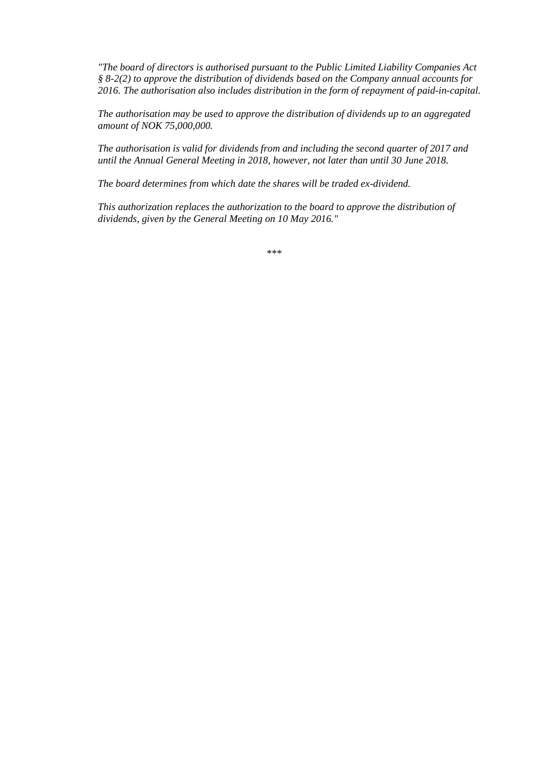*"The board of directors is authorised pursuant to the Public Limited Liability Companies Act § 8-2(2) to approve the distribution of dividends based on the Company annual accounts for 2016. The authorisation also includes distribution in the form of repayment of paid-in-capital.* 

*The authorisation may be used to approve the distribution of dividends up to an aggregated amount of NOK 75,000,000.*

*The authorisation is valid for dividends from and including the second quarter of 2017 and until the Annual General Meeting in 2018, however, not later than until 30 June 2018.*

*The board determines from which date the shares will be traded ex-dividend.* 

*This authorization replaces the authorization to the board to approve the distribution of dividends, given by the General Meeting on 10 May 2016."*

\*\*\*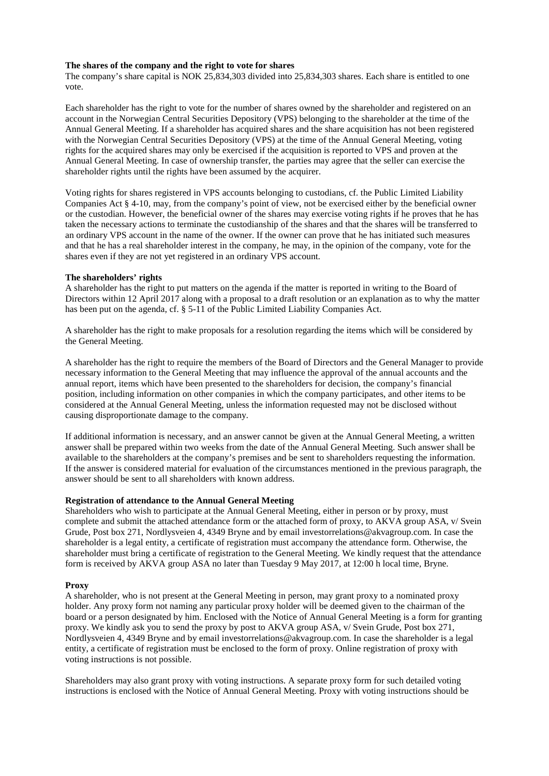#### **The shares of the company and the right to vote for shares**

The company's share capital is NOK 25,834,303 divided into 25,834,303 shares. Each share is entitled to one vote.

Each shareholder has the right to vote for the number of shares owned by the shareholder and registered on an account in the Norwegian Central Securities Depository (VPS) belonging to the shareholder at the time of the Annual General Meeting. If a shareholder has acquired shares and the share acquisition has not been registered with the Norwegian Central Securities Depository (VPS) at the time of the Annual General Meeting, voting rights for the acquired shares may only be exercised if the acquisition is reported to VPS and proven at the Annual General Meeting. In case of ownership transfer, the parties may agree that the seller can exercise the shareholder rights until the rights have been assumed by the acquirer.

Voting rights for shares registered in VPS accounts belonging to custodians, cf. the Public Limited Liability Companies Act § 4-10, may, from the company's point of view, not be exercised either by the beneficial owner or the custodian. However, the beneficial owner of the shares may exercise voting rights if he proves that he has taken the necessary actions to terminate the custodianship of the shares and that the shares will be transferred to an ordinary VPS account in the name of the owner. If the owner can prove that he has initiated such measures and that he has a real shareholder interest in the company, he may, in the opinion of the company, vote for the shares even if they are not yet registered in an ordinary VPS account.

#### **The shareholders' rights**

A shareholder has the right to put matters on the agenda if the matter is reported in writing to the Board of Directors within 12 April 2017 along with a proposal to a draft resolution or an explanation as to why the matter has been put on the agenda, cf. § 5-11 of the Public Limited Liability Companies Act.

A shareholder has the right to make proposals for a resolution regarding the items which will be considered by the General Meeting.

A shareholder has the right to require the members of the Board of Directors and the General Manager to provide necessary information to the General Meeting that may influence the approval of the annual accounts and the annual report, items which have been presented to the shareholders for decision, the company's financial position, including information on other companies in which the company participates, and other items to be considered at the Annual General Meeting, unless the information requested may not be disclosed without causing disproportionate damage to the company.

If additional information is necessary, and an answer cannot be given at the Annual General Meeting, a written answer shall be prepared within two weeks from the date of the Annual General Meeting. Such answer shall be available to the shareholders at the company's premises and be sent to shareholders requesting the information. If the answer is considered material for evaluation of the circumstances mentioned in the previous paragraph, the answer should be sent to all shareholders with known address.

#### **Registration of attendance to the Annual General Meeting**

Shareholders who wish to participate at the Annual General Meeting, either in person or by proxy, must complete and submit the attached attendance form or the attached form of proxy, to AKVA group ASA, v/ Svein Grude, Post box 271, Nordlysveien 4, 4349 Bryne and by email investorrelations@akvagroup.com. In case the shareholder is a legal entity, a certificate of registration must accompany the attendance form. Otherwise, the shareholder must bring a certificate of registration to the General Meeting. We kindly request that the attendance form is received by AKVA group ASA no later than Tuesday 9 May 2017, at 12:00 h local time, Bryne.

#### **Proxy**

A shareholder, who is not present at the General Meeting in person, may grant proxy to a nominated proxy holder. Any proxy form not naming any particular proxy holder will be deemed given to the chairman of the board or a person designated by him. Enclosed with the Notice of Annual General Meeting is a form for granting proxy. We kindly ask you to send the proxy by post to AKVA group ASA, v/ Svein Grude, Post box 271, Nordlysveien 4, 4349 Bryne and by email investorrelations@akvagroup.com. In case the shareholder is a legal entity, a certificate of registration must be enclosed to the form of proxy. Online registration of proxy with voting instructions is not possible.

Shareholders may also grant proxy with voting instructions. A separate proxy form for such detailed voting instructions is enclosed with the Notice of Annual General Meeting. Proxy with voting instructions should be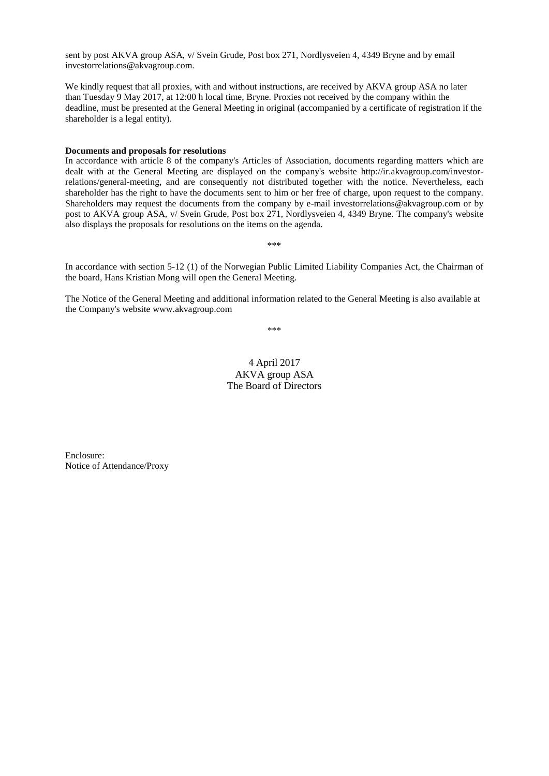sent by post AKVA group ASA, v/ Svein Grude, Post box 271, Nordlysveien 4, 4349 Bryne and by email investorrelations@akvagroup.com.

We kindly request that all proxies, with and without instructions, are received by AKVA group ASA no later than Tuesday 9 May 2017, at 12:00 h local time, Bryne. Proxies not received by the company within the deadline, must be presented at the General Meeting in original (accompanied by a certificate of registration if the shareholder is a legal entity).

#### **Documents and proposals for resolutions**

In accordance with article 8 of the company's Articles of Association, documents regarding matters which are dealt with at the General Meeting are displayed on the company's website [http://ir.akvagroup.com/investor](http://ir.akvagroup.com/investor-relations/general-meeting)[relations/general-meeting,](http://ir.akvagroup.com/investor-relations/general-meeting) and are consequently not distributed together with the notice. Nevertheless, each shareholder has the right to have the documents sent to him or her free of charge, upon request to the company. Shareholders may request the documents from the company by e-mail investorrelations@akvagroup.com or by post to AKVA group ASA, v/ Svein Grude, Post box 271, Nordlysveien 4, 4349 Bryne. The company's website also displays the proposals for resolutions on the items on the agenda.

In accordance with section 5-12 (1) of the Norwegian Public Limited Liability Companies Act, the Chairman of the board, Hans Kristian Mong will open the General Meeting.

\*\*\*

The Notice of the General Meeting and additional information related to the General Meeting is also available at the Company's website www.akvagroup.com

\*\*\*

4 April 2017 AKVA group ASA The Board of Directors

Enclosure: Notice of Attendance/Proxy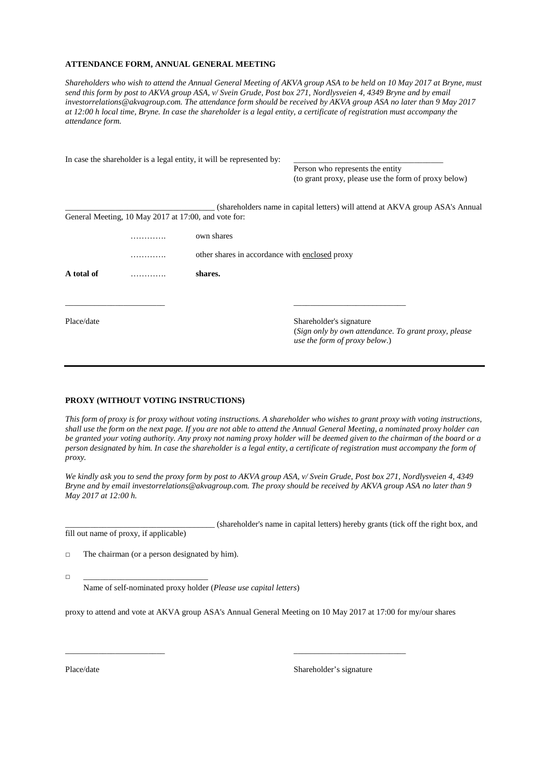#### **ATTENDANCE FORM, ANNUAL GENERAL MEETING**

*Shareholders who wish to attend the Annual General Meeting of AKVA group ASA to be held on 10 May 2017 at Bryne, must send this form by post to AKVA group ASA, v/ Svein Grude, Post box 271, Nordlysveien 4, 4349 Bryne and by email investorrelations@akvagroup.com. The attendance form should be received by AKVA group ASA no later than 9 May 2017 at 12:00 h local time, Bryne. In case the shareholder is a legal entity, a certificate of registration must accompany the attendance form.* 

|            |                                                      | In case the shareholder is a legal entity, it will be represented by: |                                                                                                                           |  |  |
|------------|------------------------------------------------------|-----------------------------------------------------------------------|---------------------------------------------------------------------------------------------------------------------------|--|--|
|            |                                                      |                                                                       | Person who represents the entity                                                                                          |  |  |
|            |                                                      |                                                                       | (to grant proxy, please use the form of proxy below)                                                                      |  |  |
|            |                                                      |                                                                       | (shareholders name in capital letters) will attend at AKVA group ASA's Annual                                             |  |  |
|            | General Meeting, 10 May 2017 at 17:00, and vote for: |                                                                       |                                                                                                                           |  |  |
|            |                                                      | own shares                                                            |                                                                                                                           |  |  |
|            | .                                                    | other shares in accordance with enclosed proxy                        |                                                                                                                           |  |  |
| A total of |                                                      | shares.                                                               |                                                                                                                           |  |  |
|            |                                                      |                                                                       |                                                                                                                           |  |  |
| Place/date |                                                      |                                                                       | Shareholder's signature<br>(Sign only by own attendance. To grant proxy, please)<br><i>use the form of proxy below.</i> ) |  |  |

#### **PROXY (WITHOUT VOTING INSTRUCTIONS)**

*This form of proxy is for proxy without voting instructions. A shareholder who wishes to grant proxy with voting instructions, shall use the form on the next page. If you are not able to attend the Annual General Meeting, a nominated proxy holder can be granted your voting authority. Any proxy not naming proxy holder will be deemed given to the chairman of the board or a person designated by him. In case the shareholder is a legal entity, a certificate of registration must accompany the form of proxy.*

*We kindly ask you to send the proxy form by post to AKVA group ASA, v/ Svein Grude, Post box 271, Nordlysveien 4, 4349 Bryne and by email investorrelations@akvagroup.com. The proxy should be received by AKVA group ASA no later than 9 May 2017 at 12:00 h.*

\_\_\_\_\_\_\_\_\_\_\_\_\_\_\_\_\_\_\_\_\_\_\_\_\_\_\_\_\_\_\_\_\_\_\_\_ (shareholder's name in capital letters) hereby grants (tick off the right box, and fill out name of proxy, if applicable)

 $\Box$  The chairman (or a person designated by him).

□ \_\_\_\_\_\_\_\_\_\_\_\_\_\_\_\_\_\_\_\_\_\_\_\_\_\_\_\_\_\_

Name of self-nominated proxy holder (*Please use capital letters*)

proxy to attend and vote at AKVA group ASA's Annual General Meeting on 10 May 2017 at 17:00 for my/our shares

\_\_\_\_\_\_\_\_\_\_\_\_\_\_\_\_\_\_\_\_\_\_\_\_ \_\_\_\_\_\_\_\_\_\_\_\_\_\_\_\_\_\_\_\_\_\_\_\_\_\_\_

Place/date Shareholder's signature